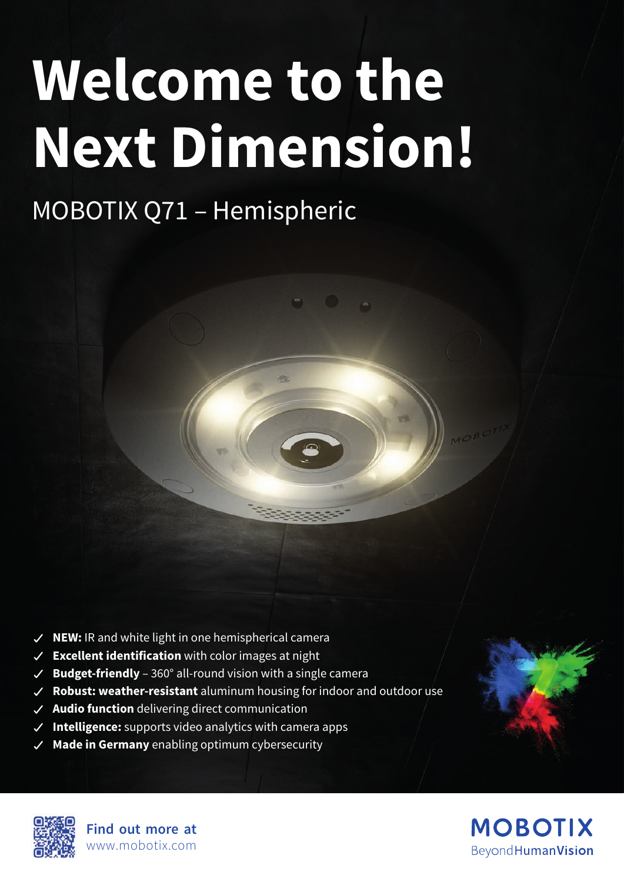# **Welcome to the Next Dimension!**

## MOBOTIX Q71 – Hemispheric



- **Excellent identification** with color images at night
- $\vee$  **Budget-friendly** 360° all-round vision with a single camera
- **Robust: weather-resistant** aluminum housing for indoor and outdoor use
- **Audio function** delivering direct communication
- **Intelligence:** supports video analytics with camera apps
- **Made in Germany** enabling optimum cybersecurity



**Find out more at** www.mobotix.com